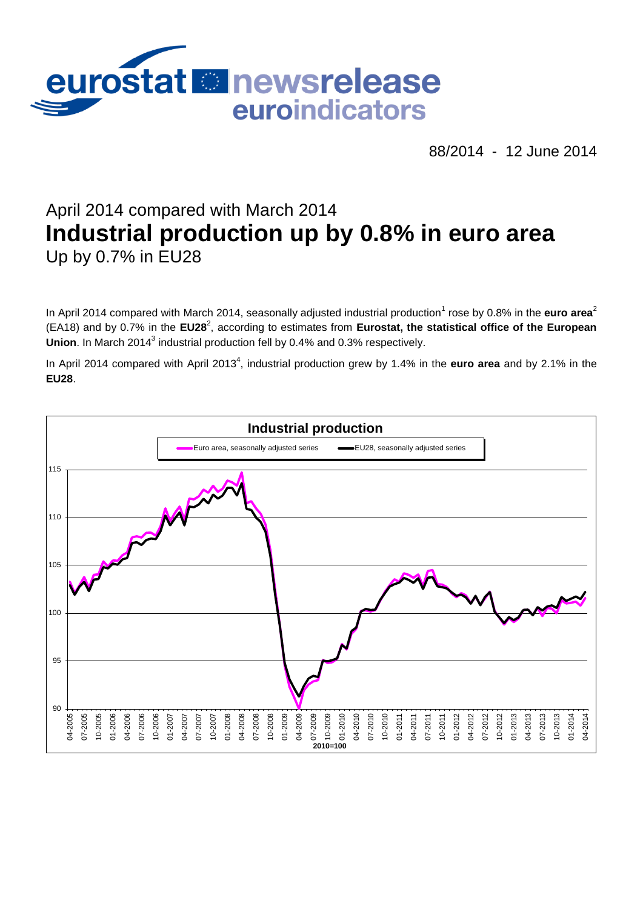

88/2014 - 12 June 2014

# April 2014 compared with March 2014 **Industrial production up by 0.8% in euro area** Up by 0.7% in EU28

In April 2014 compared with March 2014, seasonally adjusted industrial production<sup>1</sup> rose by 0.8% in the euro area<sup>2</sup> (EA18) and by 0.7% in the EU28<sup>2</sup>, according to estimates from Eurostat, the statistical office of the European Union. In March 2014<sup>3</sup> industrial production fell by 0.4% and 0.3% respectively.

In April 2014 compared with April 2013<sup>4</sup>, industrial production grew by 1.4% in the **euro area** and by 2.1% in the **EU28**.

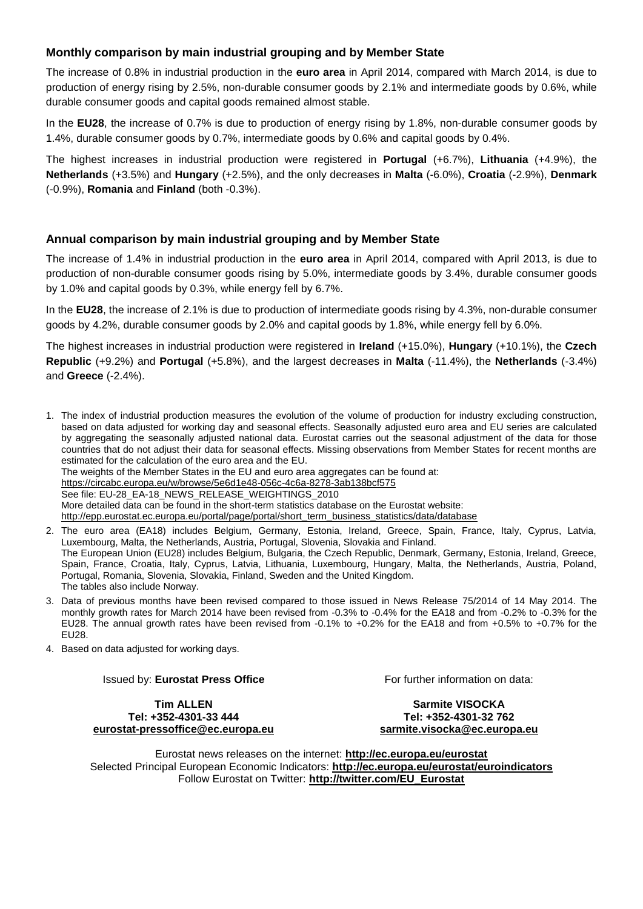## **Monthly comparison by main industrial grouping and by Member State**

The increase of 0.8% in industrial production in the **euro area** in April 2014, compared with March 2014, is due to production of energy rising by 2.5%, non-durable consumer goods by 2.1% and intermediate goods by 0.6%, while durable consumer goods and capital goods remained almost stable.

In the **EU28**, the increase of 0.7% is due to production of energy rising by 1.8%, non-durable consumer goods by 1.4%, durable consumer goods by 0.7%, intermediate goods by 0.6% and capital goods by 0.4%.

The highest increases in industrial production were registered in **Portugal** (+6.7%), **Lithuania** (+4.9%), the **Netherlands** (+3.5%) and **Hungary** (+2.5%), and the only decreases in **Malta** (-6.0%), **Croatia** (-2.9%), **Denmark** (-0.9%), **Romania** and **Finland** (both -0.3%).

#### **Annual comparison by main industrial grouping and by Member State**

The increase of 1.4% in industrial production in the **euro area** in April 2014, compared with April 2013, is due to production of non-durable consumer goods rising by 5.0%, intermediate goods by 3.4%, durable consumer goods by 1.0% and capital goods by 0.3%, while energy fell by 6.7%.

In the **EU28**, the increase of 2.1% is due to production of intermediate goods rising by 4.3%, non-durable consumer goods by 4.2%, durable consumer goods by 2.0% and capital goods by 1.8%, while energy fell by 6.0%.

The highest increases in industrial production were registered in **Ireland** (+15.0%), **Hungary** (+10.1%), the **Czech Republic** (+9.2%) and **Portugal** (+5.8%), and the largest decreases in **Malta** (-11.4%), the **Netherlands** (-3.4%) and **Greece** (-2.4%).

1. The index of industrial production measures the evolution of the volume of production for industry excluding construction, based on data adjusted for working day and seasonal effects. Seasonally adjusted euro area and EU series are calculated by aggregating the seasonally adjusted national data. Eurostat carries out the seasonal adjustment of the data for those countries that do not adjust their data for seasonal effects. Missing observations from Member States for recent months are estimated for the calculation of the euro area and the EU. The weights of the Member States in the EU and euro area aggregates can be found at: <https://circabc.europa.eu/w/browse/5e6d1e48-056c-4c6a-8278-3ab138bcf575> See file: EU-28\_EA-18\_NEWS\_RELEASE\_WEIGHTINGS\_2010 More detailed data can be found in the short-term statistics database on the Eurostat website: [http://epp.eurostat.ec.europa.eu/portal/page/portal/short\\_term\\_business\\_statistics/data/database](http://epp.eurostat.ec.europa.eu/portal/page/portal/short_term_business_statistics/data/database)

2. The euro area (EA18) includes Belgium, Germany, Estonia, Ireland, Greece, Spain, France, Italy, Cyprus, Latvia, Luxembourg, Malta, the Netherlands, Austria, Portugal, Slovenia, Slovakia and Finland. The European Union (EU28) includes Belgium, Bulgaria, the Czech Republic, Denmark, Germany, Estonia, Ireland, Greece, Spain, France, Croatia, Italy, Cyprus, Latvia, Lithuania, Luxembourg, Hungary, Malta, the Netherlands, Austria, Poland, Portugal, Romania, Slovenia, Slovakia, Finland, Sweden and the United Kingdom. The tables also include Norway.

- 3. Data of previous months have been revised compared to those issued in News Release 75/2014 of 14 May 2014. The monthly growth rates for March 2014 have been revised from -0.3% to -0.4% for the EA18 and from -0.2% to -0.3% for the EU28. The annual growth rates have been revised from -0.1% to +0.2% for the EA18 and from +0.5% to +0.7% for the EU28.
- 4. Based on data adjusted for working days.

Issued by: **Eurostat Press Office**

For further information on data:

**Tim ALLEN Tel: +352-4301-33 444 [eurostat-pressoffice@ec.europa.eu](mailto:eurostat-pressoffice@ec.europa.eu)**

**Sarmite VISOCKA Tel: +352-4301-32 762 [sarmite.visocka@ec.europa.eu](mailto:sarmite.visocka@ec.europa.eu)**

Eurostat news releases on the internet: **<http://ec.europa.eu/eurostat>** Selected Principal European Economic Indicators: **<http://ec.europa.eu/eurostat/euroindicators>** Follow Eurostat on Twitter: **[http://twitter.com/EU\\_Eurostat](http://twitter.com/EU_Eurostat)**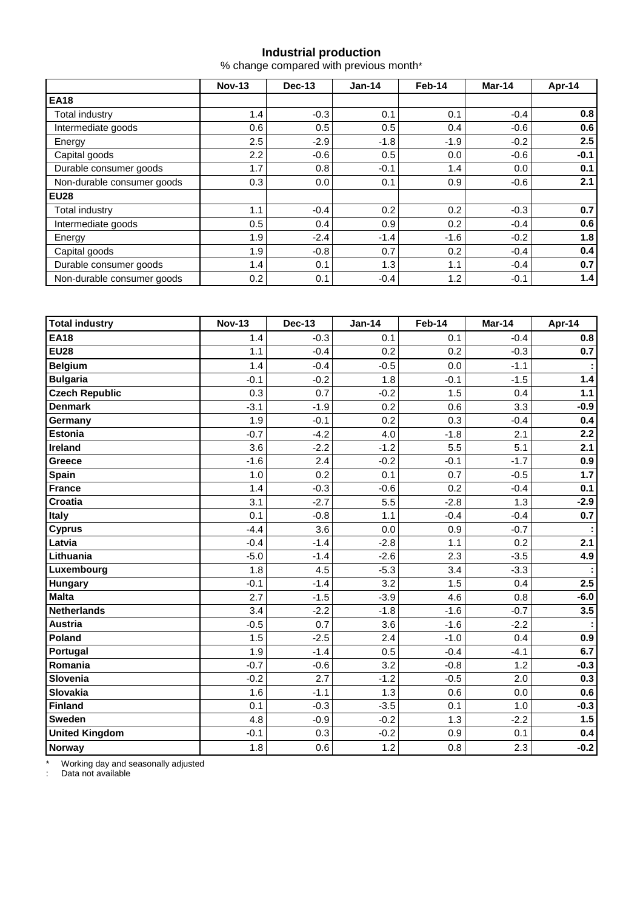## **Industrial production**

% change compared with previous month\*

|                            | <b>Nov-13</b> | Dec-13 | $Jan-14$ | Feb-14 | Mar-14 | Apr-14 |  |
|----------------------------|---------------|--------|----------|--------|--------|--------|--|
| <b>EA18</b>                |               |        |          |        |        |        |  |
| Total industry             | 1.4           | $-0.3$ | 0.1      | 0.1    | $-0.4$ | 0.8    |  |
| Intermediate goods         | 0.6           | 0.5    | 0.5      | 0.4    | $-0.6$ | 0.6    |  |
| Energy                     | 2.5           | $-2.9$ | $-1.8$   | $-1.9$ | $-0.2$ | 2.5    |  |
| Capital goods              | 2.2           | $-0.6$ | 0.5      | 0.0    | $-0.6$ | $-0.1$ |  |
| Durable consumer goods     | 1.7           | 0.8    | $-0.1$   | 1.4    | 0.0    | 0.1    |  |
| Non-durable consumer goods | 0.3           | 0.0    | 0.1      | 0.9    | $-0.6$ | 2.1    |  |
| <b>EU28</b>                |               |        |          |        |        |        |  |
| Total industry             | 1.1           | $-0.4$ | 0.2      | 0.2    | $-0.3$ | 0.7    |  |
| Intermediate goods         | 0.5           | 0.4    | 0.9      | 0.2    | $-0.4$ | 0.6    |  |
| Energy                     | 1.9           | $-2.4$ | $-1.4$   | $-1.6$ | $-0.2$ | 1.8    |  |
| Capital goods              | 1.9           | $-0.8$ | 0.7      | 0.2    | $-0.4$ | 0.4    |  |
| Durable consumer goods     | 1.4           | 0.1    | 1.3      | 1.1    | $-0.4$ | 0.7    |  |
| Non-durable consumer goods | 0.2           | 0.1    | $-0.4$   | 1.2    | $-0.1$ | 1.4    |  |

| <b>Total industry</b> | <b>Nov-13</b> | <b>Dec-13</b> | <b>Jan-14</b> | Feb-14 | Mar-14 | Apr-14 |
|-----------------------|---------------|---------------|---------------|--------|--------|--------|
| <b>EA18</b>           | 1.4           | $-0.3$        | 0.1           | 0.1    | $-0.4$ | 0.8    |
| <b>EU28</b>           | 1.1           | $-0.4$        | 0.2           | 0.2    | $-0.3$ | 0.7    |
| <b>Belgium</b>        | 1.4           | $-0.4$        | $-0.5$        | 0.0    | $-1.1$ |        |
| <b>Bulgaria</b>       | $-0.1$        | $-0.2$        | 1.8           | $-0.1$ | $-1.5$ | $1.4$  |
| <b>Czech Republic</b> | 0.3           | 0.7           | $-0.2$        | 1.5    | 0.4    | $1.1$  |
| <b>Denmark</b>        | $-3.1$        | $-1.9$        | 0.2           | 0.6    | 3.3    | $-0.9$ |
| Germany               | 1.9           | $-0.1$        | 0.2           | 0.3    | $-0.4$ | 0.4    |
| <b>Estonia</b>        | $-0.7$        | $-4.2$        | 4.0           | $-1.8$ | 2.1    | 2.2    |
| Ireland               | 3.6           | $-2.2$        | $-1.2$        | 5.5    | 5.1    | 2.1    |
| Greece                | $-1.6$        | 2.4           | $-0.2$        | $-0.1$ | $-1.7$ | 0.9    |
| Spain                 | 1.0           | 0.2           | 0.1           | 0.7    | $-0.5$ | 1.7    |
| <b>France</b>         | 1.4           | $-0.3$        | $-0.6$        | 0.2    | $-0.4$ | 0.1    |
| Croatia               | 3.1           | $-2.7$        | 5.5           | $-2.8$ | 1.3    | $-2.9$ |
| <b>Italy</b>          | 0.1           | $-0.8$        | 1.1           | $-0.4$ | $-0.4$ | 0.7    |
| <b>Cyprus</b>         | $-4.4$        | 3.6           | 0.0           | 0.9    | $-0.7$ |        |
| Latvia                | $-0.4$        | $-1.4$        | $-2.8$        | 1.1    | 0.2    | 2.1    |
| Lithuania             | $-5.0$        | $-1.4$        | $-2.6$        | 2.3    | $-3.5$ | 4.9    |
| Luxembourg            | 1.8           | 4.5           | $-5.3$        | 3.4    | $-3.3$ |        |
| <b>Hungary</b>        | $-0.1$        | $-1.4$        | 3.2           | 1.5    | 0.4    | 2.5    |
| <b>Malta</b>          | 2.7           | $-1.5$        | $-3.9$        | 4.6    | 0.8    | $-6.0$ |
| <b>Netherlands</b>    | 3.4           | $-2.2$        | $-1.8$        | $-1.6$ | $-0.7$ | 3.5    |
| <b>Austria</b>        | $-0.5$        | 0.7           | 3.6           | $-1.6$ | $-2.2$ |        |
| Poland                | 1.5           | $-2.5$        | 2.4           | $-1.0$ | 0.4    | 0.9    |
| Portugal              | 1.9           | $-1.4$        | 0.5           | $-0.4$ | $-4.1$ | 6.7    |
| Romania               | $-0.7$        | $-0.6$        | 3.2           | $-0.8$ | 1.2    | $-0.3$ |
| Slovenia              | $-0.2$        | 2.7           | $-1.2$        | $-0.5$ | 2.0    | 0.3    |
| Slovakia              | 1.6           | $-1.1$        | 1.3           | 0.6    | 0.0    | 0.6    |
| Finland               | 0.1           | $-0.3$        | $-3.5$        | 0.1    | 1.0    | $-0.3$ |
| <b>Sweden</b>         | 4.8           | $-0.9$        | $-0.2$        | 1.3    | $-2.2$ | 1.5    |
| <b>United Kingdom</b> | $-0.1$        | 0.3           | $-0.2$        | 0.9    | 0.1    | 0.4    |
| <b>Norway</b>         | 1.8           | 0.6           | 1.2           | 0.8    | 2.3    | $-0.2$ |

\* Working day and seasonally adjusted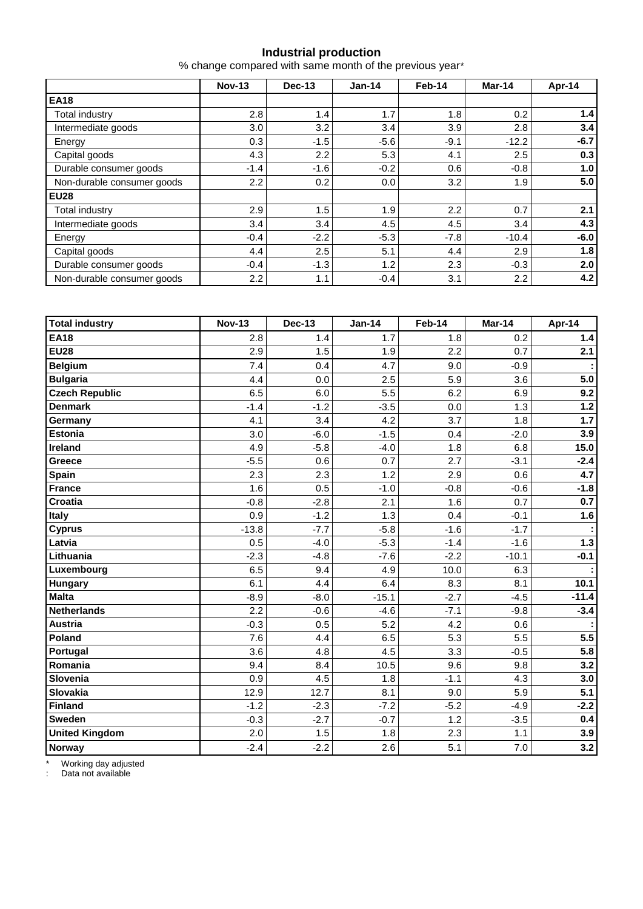#### **Industrial production**

% change compared with same month of the previous year\*

|                            | <b>Nov-13</b>    | Dec-13 | $Jan-14$ | Feb-14 | Mar-14  | Apr-14 |  |
|----------------------------|------------------|--------|----------|--------|---------|--------|--|
| <b>EA18</b>                |                  |        |          |        |         |        |  |
| Total industry             | 2.8              | 1.4    | 1.7      | 1.8    | 0.2     | 1.4    |  |
| Intermediate goods         | 3.0              | 3.2    | 3.4      | 3.9    | 2.8     | 3.4    |  |
| Energy                     | 0.3              | $-1.5$ | $-5.6$   | $-9.1$ | $-12.2$ | $-6.7$ |  |
| Capital goods              | 4.3              | 2.2    | 5.3      | 4.1    | 2.5     | 0.3    |  |
| Durable consumer goods     | $-1.4$           | $-1.6$ | $-0.2$   | 0.6    | $-0.8$  | 1.0    |  |
| Non-durable consumer goods | 2.2              | 0.2    | 0.0      | 3.2    | 1.9     | 5.0    |  |
| <b>EU28</b>                |                  |        |          |        |         |        |  |
| <b>Total industry</b>      | 2.9              | 1.5    | 1.9      | 2.2    | 0.7     | 2.1    |  |
| Intermediate goods         | 3.4              | 3.4    | 4.5      | 4.5    | 3.4     | 4.3    |  |
| Energy                     | $-0.4$           | $-2.2$ | $-5.3$   | $-7.8$ | $-10.4$ | $-6.0$ |  |
| Capital goods              | 4.4              | 2.5    | 5.1      | 4.4    | 2.9     | 1.8    |  |
| Durable consumer goods     | $-0.4$           | $-1.3$ | 1.2      | 2.3    | $-0.3$  | 2.0    |  |
| Non-durable consumer goods | $2.2\phantom{0}$ | 1.1    | $-0.4$   | 3.1    | 2.2     | 4.2    |  |

| <b>Total industry</b> | <b>Nov-13</b> | <b>Dec-13</b> | <b>Jan-14</b> | Feb-14 | Mar-14  | Apr-14  |
|-----------------------|---------------|---------------|---------------|--------|---------|---------|
| <b>EA18</b>           | 2.8           | 1.4           | 1.7           | 1.8    | 0.2     | $1.4$   |
| <b>EU28</b>           | 2.9           | 1.5           | 1.9           | 2.2    | 0.7     | 2.1     |
| <b>Belgium</b>        | 7.4           | 0.4           | 4.7           | 9.0    | $-0.9$  |         |
| <b>Bulgaria</b>       | 4.4           | 0.0           | 2.5           | 5.9    | 3.6     | 5.0     |
| <b>Czech Republic</b> | 6.5           | 6.0           | 5.5           | 6.2    | 6.9     | 9.2     |
| <b>Denmark</b>        | $-1.4$        | $-1.2$        | $-3.5$        | 0.0    | 1.3     | $1.2$   |
| Germany               | 4.1           | 3.4           | 4.2           | 3.7    | 1.8     | $1.7$   |
| <b>Estonia</b>        | 3.0           | $-6.0$        | $-1.5$        | 0.4    | $-2.0$  | 3.9     |
| Ireland               | 4.9           | $-5.8$        | $-4.0$        | 1.8    | 6.8     | 15.0    |
| Greece                | $-5.5$        | 0.6           | 0.7           | 2.7    | $-3.1$  | $-2.4$  |
| Spain                 | 2.3           | 2.3           | 1.2           | 2.9    | 0.6     | 4.7     |
| <b>France</b>         | 1.6           | 0.5           | $-1.0$        | $-0.8$ | $-0.6$  | $-1.8$  |
| <b>Croatia</b>        | $-0.8$        | $-2.8$        | 2.1           | 1.6    | 0.7     | 0.7     |
| Italy                 | 0.9           | $-1.2$        | 1.3           | 0.4    | $-0.1$  | 1.6     |
| <b>Cyprus</b>         | $-13.8$       | $-7.7$        | $-5.8$        | $-1.6$ | $-1.7$  |         |
| Latvia                | 0.5           | $-4.0$        | $-5.3$        | $-1.4$ | $-1.6$  | $1.3$   |
| Lithuania             | $-2.3$        | $-4.8$        | $-7.6$        | $-2.2$ | $-10.1$ | $-0.1$  |
| Luxembourg            | 6.5           | 9.4           | 4.9           | 10.0   | 6.3     |         |
| <b>Hungary</b>        | 6.1           | 4.4           | 6.4           | 8.3    | 8.1     | 10.1    |
| <b>Malta</b>          | $-8.9$        | $-8.0$        | $-15.1$       | $-2.7$ | $-4.5$  | $-11.4$ |
| Netherlands           | 2.2           | $-0.6$        | $-4.6$        | $-7.1$ | $-9.8$  | $-3.4$  |
| <b>Austria</b>        | $-0.3$        | 0.5           | 5.2           | 4.2    | 0.6     |         |
| Poland                | 7.6           | 4.4           | 6.5           | 5.3    | 5.5     | 5.5     |
| Portugal              | 3.6           | 4.8           | 4.5           | 3.3    | $-0.5$  | 5.8     |
| Romania               | 9.4           | 8.4           | 10.5          | 9.6    | 9.8     | 3.2     |
| Slovenia              | 0.9           | 4.5           | 1.8           | $-1.1$ | 4.3     | 3.0     |
| Slovakia              | 12.9          | 12.7          | 8.1           | 9.0    | 5.9     | 5.1     |
| Finland               | $-1.2$        | $-2.3$        | $-7.2$        | $-5.2$ | $-4.9$  | $-2.2$  |
| <b>Sweden</b>         | $-0.3$        | $-2.7$        | $-0.7$        | 1.2    | $-3.5$  | 0.4     |
| <b>United Kingdom</b> | 2.0           | 1.5           | 1.8           | 2.3    | 1.1     | 3.9     |
| Norway                | $-2.4$        | $-2.2$        | 2.6           | 5.1    | 7.0     | 3.2     |

\* Working day adjusted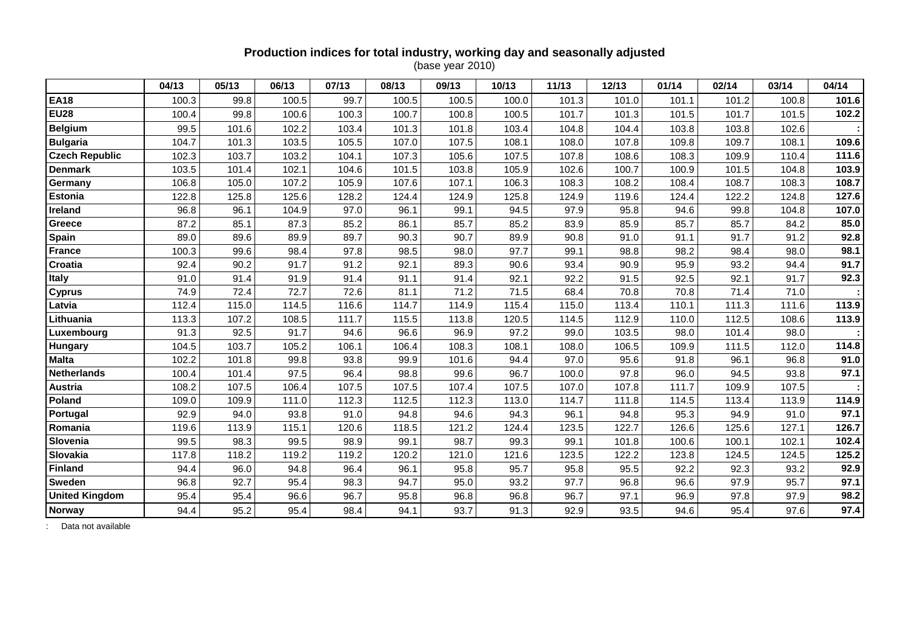# **Production indices for total industry, working day and seasonally adjusted**

(base year 2010)

|                       | 04/13 | 05/13 | 06/13 | 07/13 | 08/13 | 09/13 | 10/13 | 11/13 | 12/13 | 01/14 | 02/14 | 03/14 | 04/14 |
|-----------------------|-------|-------|-------|-------|-------|-------|-------|-------|-------|-------|-------|-------|-------|
| <b>EA18</b>           | 100.3 | 99.8  | 100.5 | 99.7  | 100.5 | 100.5 | 100.0 | 101.3 | 101.0 | 101.1 | 101.2 | 100.8 | 101.6 |
| <b>EU28</b>           | 100.4 | 99.8  | 100.6 | 100.3 | 100.7 | 100.8 | 100.5 | 101.7 | 101.3 | 101.5 | 101.7 | 101.5 | 102.2 |
| <b>Belgium</b>        | 99.5  | 101.6 | 102.2 | 103.4 | 101.3 | 101.8 | 103.4 | 104.8 | 104.4 | 103.8 | 103.8 | 102.6 |       |
| <b>Bulgaria</b>       | 104.7 | 101.3 | 103.5 | 105.5 | 107.0 | 107.5 | 108.1 | 108.0 | 107.8 | 109.8 | 109.7 | 108.1 | 109.6 |
| <b>Czech Republic</b> | 102.3 | 103.7 | 103.2 | 104.1 | 107.3 | 105.6 | 107.5 | 107.8 | 108.6 | 108.3 | 109.9 | 110.4 | 111.6 |
| <b>Denmark</b>        | 103.5 | 101.4 | 102.1 | 104.6 | 101.5 | 103.8 | 105.9 | 102.6 | 100.7 | 100.9 | 101.5 | 104.8 | 103.9 |
| Germany               | 106.8 | 105.0 | 107.2 | 105.9 | 107.6 | 107.1 | 106.3 | 108.3 | 108.2 | 108.4 | 108.7 | 108.3 | 108.7 |
| <b>Estonia</b>        | 122.8 | 125.8 | 125.6 | 128.2 | 124.4 | 124.9 | 125.8 | 124.9 | 119.6 | 124.4 | 122.2 | 124.8 | 127.6 |
| Ireland               | 96.8  | 96.1  | 104.9 | 97.0  | 96.1  | 99.1  | 94.5  | 97.9  | 95.8  | 94.6  | 99.8  | 104.8 | 107.0 |
| Greece                | 87.2  | 85.1  | 87.3  | 85.2  | 86.1  | 85.7  | 85.2  | 83.9  | 85.9  | 85.7  | 85.7  | 84.2  | 85.0  |
| Spain                 | 89.0  | 89.6  | 89.9  | 89.7  | 90.3  | 90.7  | 89.9  | 90.8  | 91.0  | 91.1  | 91.7  | 91.2  | 92.8  |
| <b>France</b>         | 100.3 | 99.6  | 98.4  | 97.8  | 98.5  | 98.0  | 97.7  | 99.1  | 98.8  | 98.2  | 98.4  | 98.0  | 98.1  |
| Croatia               | 92.4  | 90.2  | 91.7  | 91.2  | 92.1  | 89.3  | 90.6  | 93.4  | 90.9  | 95.9  | 93.2  | 94.4  | 91.7  |
| <b>Italy</b>          | 91.0  | 91.4  | 91.9  | 91.4  | 91.1  | 91.4  | 92.1  | 92.2  | 91.5  | 92.5  | 92.1  | 91.7  | 92.3  |
| <b>Cyprus</b>         | 74.9  | 72.4  | 72.7  | 72.6  | 81.1  | 71.2  | 71.5  | 68.4  | 70.8  | 70.8  | 71.4  | 71.0  |       |
| Latvia                | 112.4 | 115.0 | 114.5 | 116.6 | 114.7 | 114.9 | 115.4 | 115.0 | 113.4 | 110.1 | 111.3 | 111.6 | 113.9 |
| Lithuania             | 113.3 | 107.2 | 108.5 | 111.7 | 115.5 | 113.8 | 120.5 | 114.5 | 112.9 | 110.0 | 112.5 | 108.6 | 113.9 |
| Luxembourg            | 91.3  | 92.5  | 91.7  | 94.6  | 96.6  | 96.9  | 97.2  | 99.0  | 103.5 | 98.0  | 101.4 | 98.0  |       |
| Hungary               | 104.5 | 103.7 | 105.2 | 106.1 | 106.4 | 108.3 | 108.1 | 108.0 | 106.5 | 109.9 | 111.5 | 112.0 | 114.8 |
| <b>Malta</b>          | 102.2 | 101.8 | 99.8  | 93.8  | 99.9  | 101.6 | 94.4  | 97.0  | 95.6  | 91.8  | 96.1  | 96.8  | 91.0  |
| <b>Netherlands</b>    | 100.4 | 101.4 | 97.5  | 96.4  | 98.8  | 99.6  | 96.7  | 100.0 | 97.8  | 96.0  | 94.5  | 93.8  | 97.1  |
| Austria               | 108.2 | 107.5 | 106.4 | 107.5 | 107.5 | 107.4 | 107.5 | 107.0 | 107.8 | 111.7 | 109.9 | 107.5 |       |
| Poland                | 109.0 | 109.9 | 111.0 | 112.3 | 112.5 | 112.3 | 113.0 | 114.7 | 111.8 | 114.5 | 113.4 | 113.9 | 114.9 |
| Portugal              | 92.9  | 94.0  | 93.8  | 91.0  | 94.8  | 94.6  | 94.3  | 96.1  | 94.8  | 95.3  | 94.9  | 91.0  | 97.1  |
| Romania               | 119.6 | 113.9 | 115.1 | 120.6 | 118.5 | 121.2 | 124.4 | 123.5 | 122.7 | 126.6 | 125.6 | 127.1 | 126.7 |
| Slovenia              | 99.5  | 98.3  | 99.5  | 98.9  | 99.1  | 98.7  | 99.3  | 99.1  | 101.8 | 100.6 | 100.1 | 102.1 | 102.4 |
| Slovakia              | 117.8 | 118.2 | 119.2 | 119.2 | 120.2 | 121.0 | 121.6 | 123.5 | 122.2 | 123.8 | 124.5 | 124.5 | 125.2 |
| <b>Finland</b>        | 94.4  | 96.0  | 94.8  | 96.4  | 96.1  | 95.8  | 95.7  | 95.8  | 95.5  | 92.2  | 92.3  | 93.2  | 92.9  |
| <b>Sweden</b>         | 96.8  | 92.7  | 95.4  | 98.3  | 94.7  | 95.0  | 93.2  | 97.7  | 96.8  | 96.6  | 97.9  | 95.7  | 97.1  |
| <b>United Kingdom</b> | 95.4  | 95.4  | 96.6  | 96.7  | 95.8  | 96.8  | 96.8  | 96.7  | 97.1  | 96.9  | 97.8  | 97.9  | 98.2  |
| Norway                | 94.4  | 95.2  | 95.4  | 98.4  | 94.1  | 93.7  | 91.3  | 92.9  | 93.5  | 94.6  | 95.4  | 97.6  | 97.4  |